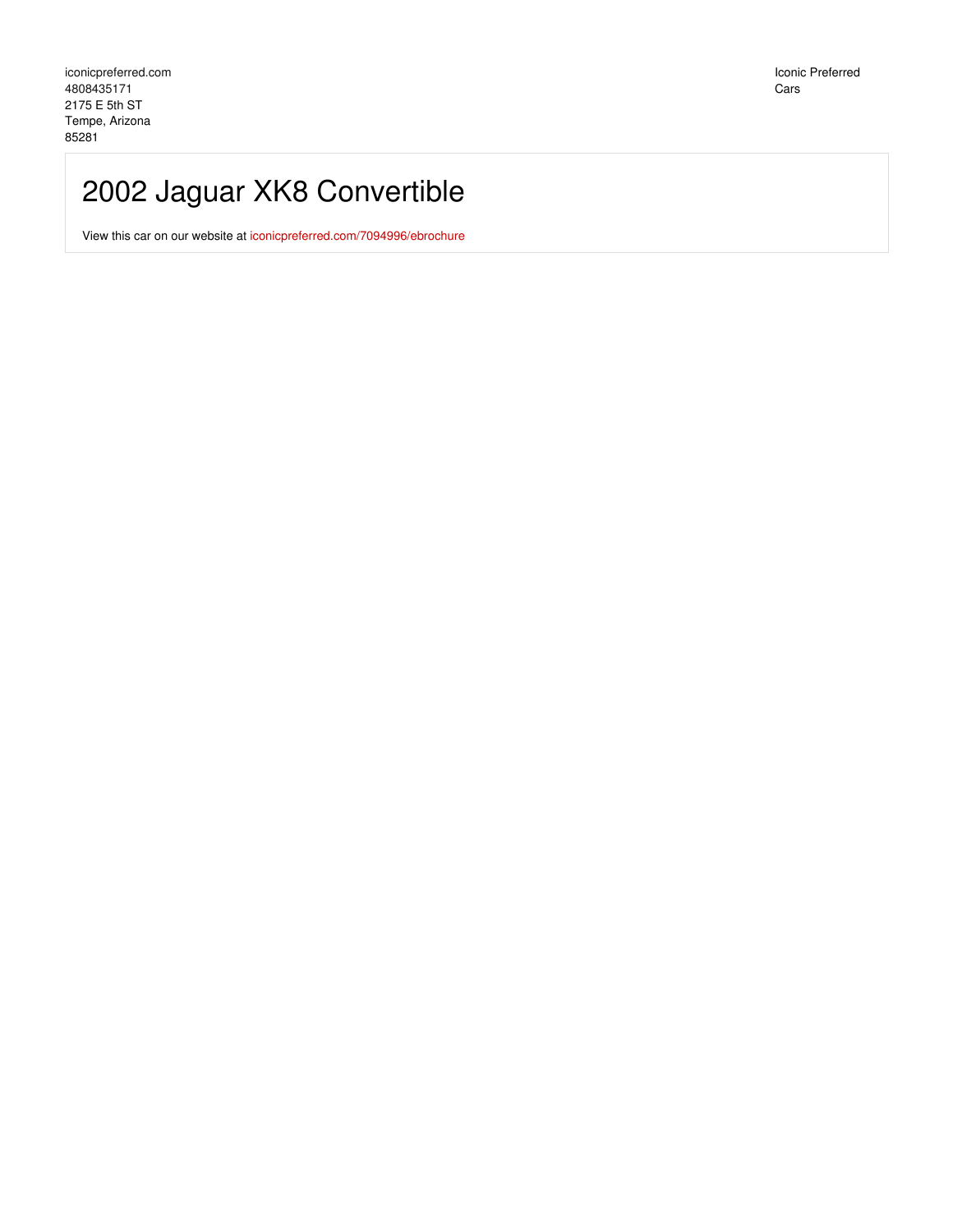Iconic Preferred Cars

## 2002 Jaguar XK8 Convertible

View this car on our website at [iconicpreferred.com/7094996/ebrochure](https://iconicpreferred.com/vehicle/7094996/2002-jaguar-xk8-convertible-tempe-arizona-85281/7094996/ebrochure)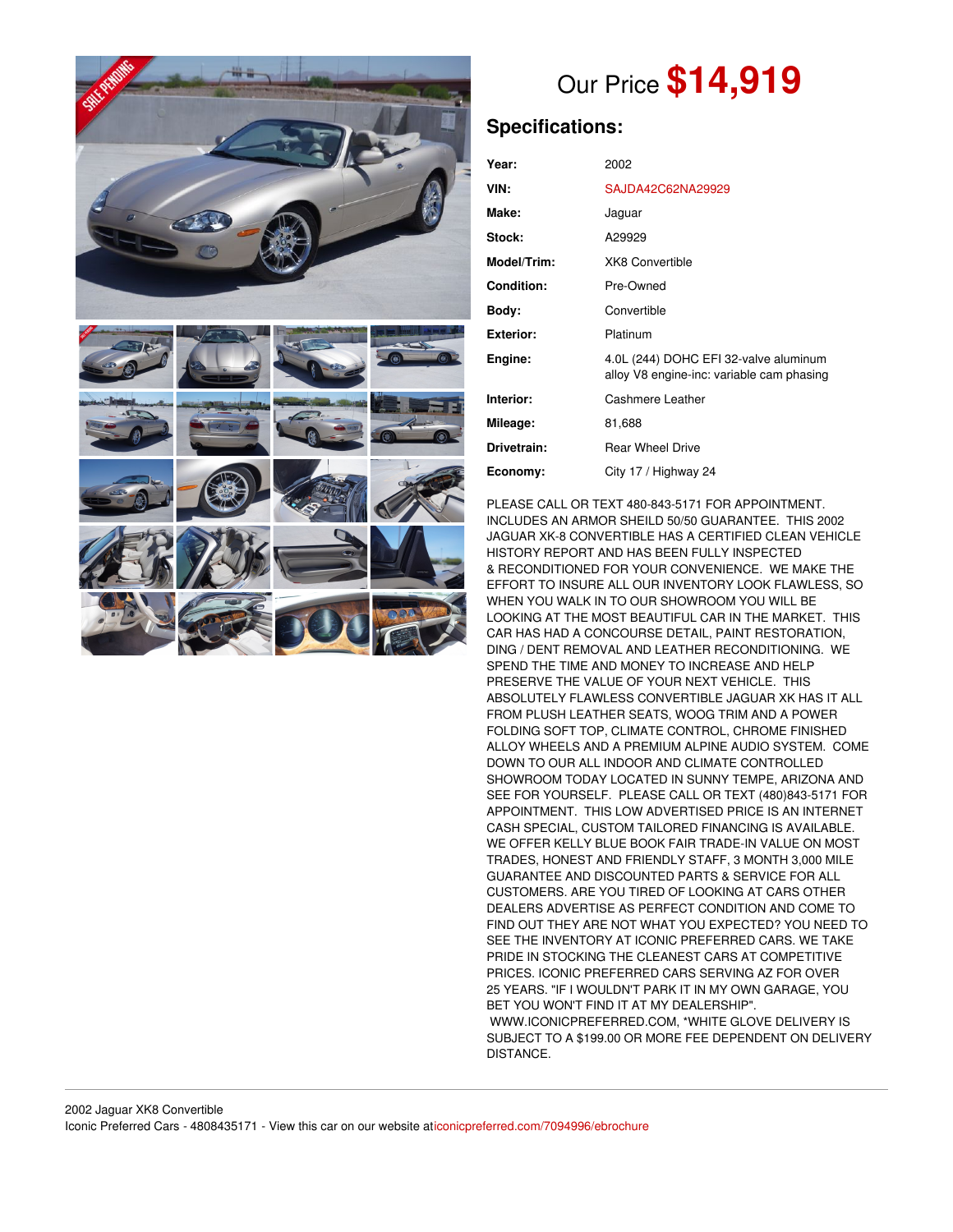



# Our Price **\$14,919**

## **Specifications:**

| Year:              | 2002                                                                               |
|--------------------|------------------------------------------------------------------------------------|
| VIN:               | SAJDA42C62NA29929                                                                  |
| Make:              | Jaguar                                                                             |
| Stock:             | A29929                                                                             |
| <b>Model/Trim:</b> | <b>XK8 Convertible</b>                                                             |
| <b>Condition:</b>  | Pre-Owned                                                                          |
| Body:              | Convertible                                                                        |
| Exterior:          | Platinum                                                                           |
| Engine:            | 4.0L (244) DOHC EFI 32-valve aluminum<br>alloy V8 engine-inc: variable cam phasing |
| Interior:          | Cashmere Leather                                                                   |
| Mileage:           | 81,688                                                                             |
| Drivetrain:        | <b>Rear Wheel Drive</b>                                                            |
| Economy:           | City 17 / Highway 24                                                               |

PLEASE CALL OR TEXT 480-843-5171 FOR APPOINTMENT. INCLUDES AN ARMOR SHEILD 50/50 GUARANTEE. THIS 2002 JAGUAR XK-8 CONVERTIBLE HAS A CERTIFIED CLEAN VEHICLE HISTORY REPORT AND HAS BEEN FULLY INSPECTED & RECONDITIONED FOR YOUR CONVENIENCE. WE MAKE THE EFFORT TO INSURE ALL OUR INVENTORY LOOK FLAWLESS, SO WHEN YOU WALK IN TO OUR SHOWROOM YOU WILL BE LOOKING AT THE MOST BEAUTIFUL CAR IN THE MARKET. THIS CAR HAS HAD A CONCOURSE DETAIL, PAINT RESTORATION, DING / DENT REMOVAL AND LEATHER RECONDITIONING. WE SPEND THE TIME AND MONEY TO INCREASE AND HELP PRESERVE THE VALUE OF YOUR NEXT VEHICLE. THIS ABSOLUTELY FLAWLESS CONVERTIBLE JAGUAR XK HAS IT ALL FROM PLUSH LEATHER SEATS, WOOG TRIM AND A POWER FOLDING SOFT TOP, CLIMATE CONTROL, CHROME FINISHED ALLOY WHEELS AND A PREMIUM ALPINE AUDIO SYSTEM. COME DOWN TO OUR ALL INDOOR AND CLIMATE CONTROLLED SHOWROOM TODAY LOCATED IN SUNNY TEMPE, ARIZONA AND SEE FOR YOURSELF. PLEASE CALL OR TEXT (480)843-5171 FOR APPOINTMENT. THIS LOW ADVERTISED PRICE IS AN INTERNET CASH SPECIAL, CUSTOM TAILORED FINANCING IS AVAILABLE. WE OFFER KELLY BLUE BOOK FAIR TRADE-IN VALUE ON MOST TRADES, HONEST AND FRIENDLY STAFF, 3 MONTH 3,000 MILE GUARANTEE AND DISCOUNTED PARTS & SERVICE FOR ALL CUSTOMERS. ARE YOU TIRED OF LOOKING AT CARS OTHER DEALERS ADVERTISE AS PERFECT CONDITION AND COME TO FIND OUT THEY ARE NOT WHAT YOU EXPECTED? YOU NEED TO SEE THE INVENTORY AT ICONIC PREFERRED CARS. WE TAKE PRIDE IN STOCKING THE CLEANEST CARS AT COMPETITIVE PRICES. ICONIC PREFERRED CARS SERVING AZ FOR OVER 25 YEARS. "IF I WOULDN'T PARK IT IN MY OWN GARAGE, YOU BET YOU WON'T FIND IT AT MY DEALERSHIP". WWW.ICONICPREFERRED.COM, \*WHITE GLOVE DELIVERY IS SUBJECT TO A \$199.00 OR MORE FEE DEPENDENT ON DELIVERY DISTANCE.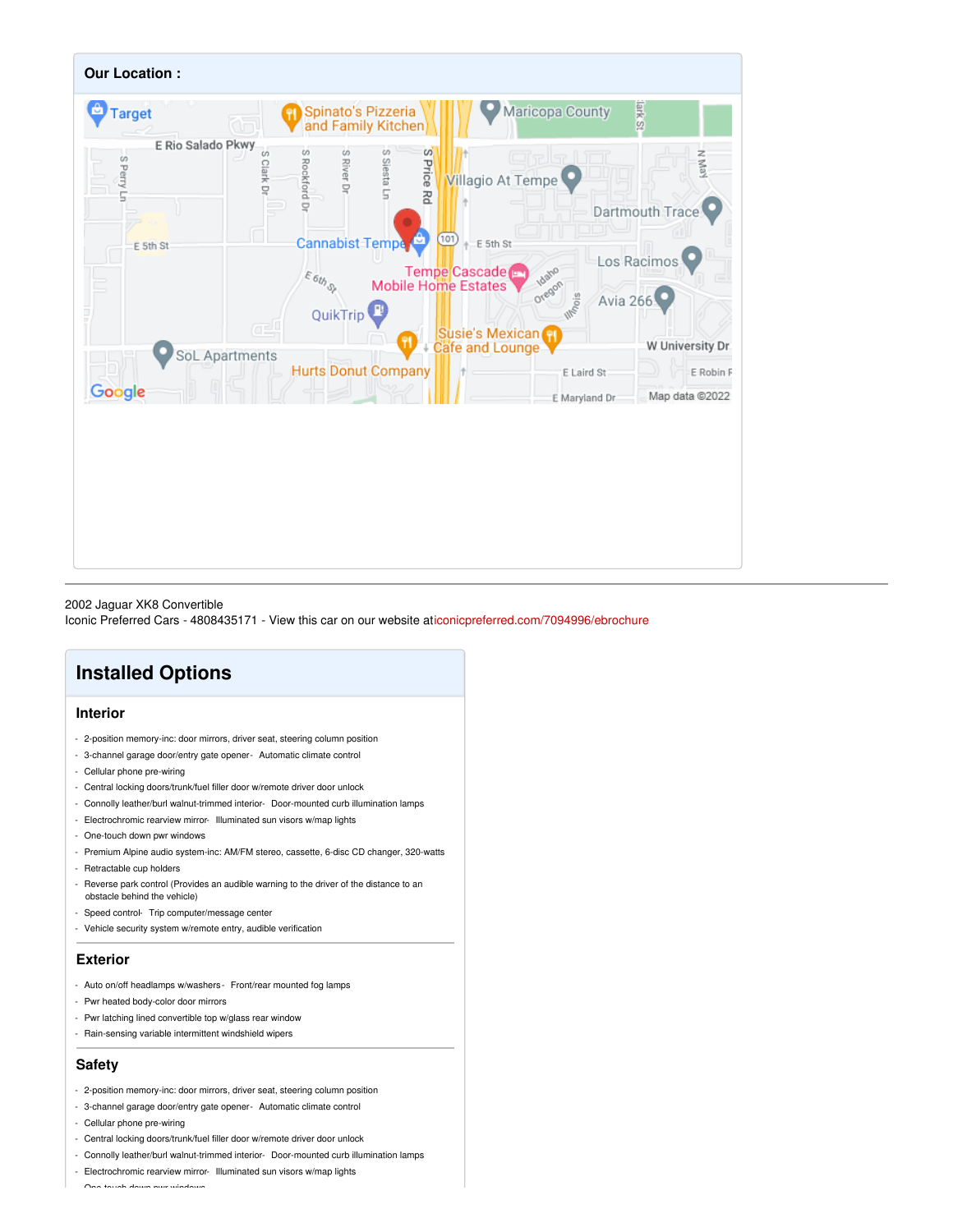

#### 2002 Jaguar XK8 Convertible

Iconic Preferred Cars - 4808435171 - View this car on our website a[ticonicpreferred.com/7094996/ebrochure](https://iconicpreferred.com/vehicle/7094996/2002-jaguar-xk8-convertible-tempe-arizona-85281/7094996/ebrochure)

## **Installed Options**

#### **Interior**

- 2-position memory-inc: door mirrors, driver seat, steering column position
- 3-channel garage door/entry gate opener- Automatic climate control
- Cellular phone pre-wiring
- Central locking doors/trunk/fuel filler door w/remote driver door unlock
- Connolly leather/burl walnut-trimmed interior- Door-mounted curb illumination lamps
- Electrochromic rearview mirror- Illuminated sun visors w/map lights
- One-touch down pwr windows
- Premium Alpine audio system-inc: AM/FM stereo, cassette, 6-disc CD changer, 320-watts
- Retractable cup holders
- Reverse park control (Provides an audible warning to the driver of the distance to an obstacle behind the vehicle)
- Speed control- Trip computer/message center
- Vehicle security system w/remote entry, audible verification

#### **Exterior**

- Auto on/off headlamps w/washers- Front/rear mounted fog lamps
- Pwr heated body-color door mirrors
- Pwr latching lined convertible top w/glass rear window
- Rain-sensing variable intermittent windshield wipers

#### **Safety**

- 2-position memory-inc: door mirrors, driver seat, steering column position
- 3-channel garage door/entry gate opener- Automatic climate control
- Cellular phone pre-wiring
- Central locking doors/trunk/fuel filler door w/remote driver door unlock
- Connolly leather/burl walnut-trimmed interior- Door-mounted curb illumination lamps
- Electrochromic rearview mirror- Illuminated sun visors w/map lights

- One-touch down pwr windows